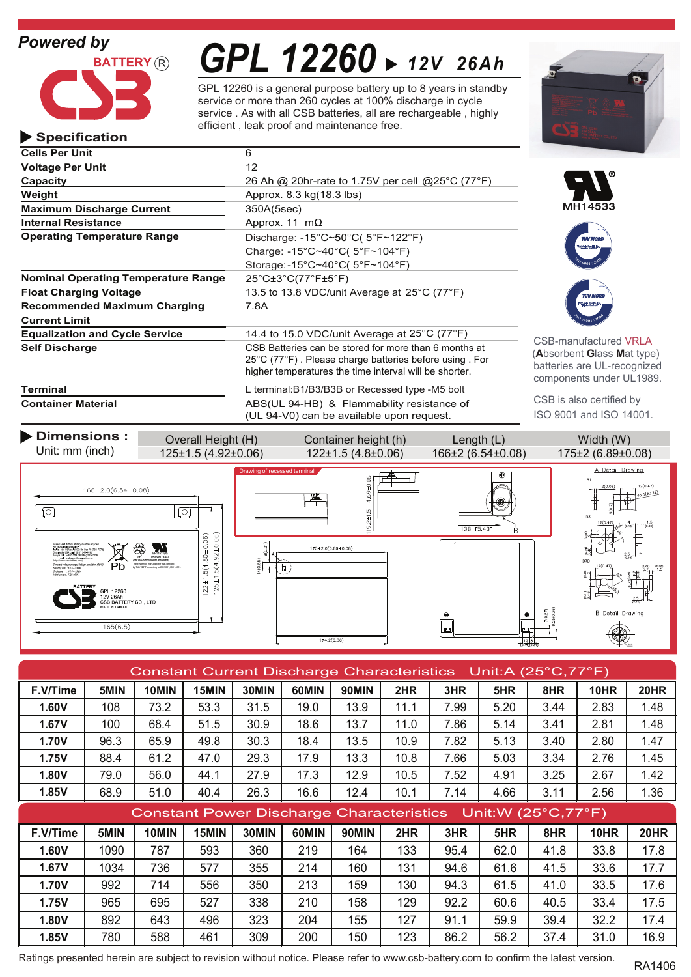# *Powered by*

**Specification**



# *GPL 12260 12V 26Ah*

GPL 12260 is a general purpose battery up to 8 years in standby service or more than 260 cycles at 100% discharge in cycle service . As with all CSB batteries, all are rechargeable , highly efficient , leak proof and maintenance free.

| <b>Cells Per Unit</b>                      | 6                                                                                                                                                                                             |  |  |
|--------------------------------------------|-----------------------------------------------------------------------------------------------------------------------------------------------------------------------------------------------|--|--|
| <b>Voltage Per Unit</b>                    | 12                                                                                                                                                                                            |  |  |
| Capacity                                   | 26 Ah @ 20hr-rate to 1.75V per cell @25°C (77°F)                                                                                                                                              |  |  |
| Weight                                     | Approx. 8.3 kg(18.3 lbs)                                                                                                                                                                      |  |  |
| <b>Maximum Discharge Current</b>           | 350A(5sec)                                                                                                                                                                                    |  |  |
| <b>Internal Resistance</b>                 | Approx. 11 $m\Omega$                                                                                                                                                                          |  |  |
| <b>Operating Temperature Range</b>         | Discharge: $-15^{\circ}$ C~50 $^{\circ}$ C( 5 $^{\circ}$ F~122 $^{\circ}$ F)                                                                                                                  |  |  |
|                                            | Charge: -15°C~40°C( $5^{\circ}F~104^{\circ}F$ )                                                                                                                                               |  |  |
|                                            | Storage: -15°C~40°C( 5°F~104°F)                                                                                                                                                               |  |  |
| <b>Nominal Operating Temperature Range</b> | 25°C±3°C(77°F±5°F)                                                                                                                                                                            |  |  |
| <b>Float Charging Voltage</b>              | 13.5 to 13.8 VDC/unit Average at 25°C (77°F)                                                                                                                                                  |  |  |
| <b>Recommended Maximum Charging</b>        | 7.8A                                                                                                                                                                                          |  |  |
| <b>Current Limit</b>                       |                                                                                                                                                                                               |  |  |
| <b>Equalization and Cycle Service</b>      | 14.4 to 15.0 VDC/unit Average at $25^{\circ}$ C (77 $^{\circ}$ F)                                                                                                                             |  |  |
| <b>Self Discharge</b>                      | CSB Batteries can be stored for more than 6 months at<br>$25^{\circ}$ C (77 $^{\circ}$ F). Please charge batteries before using For<br>higher temperatures the time interval will be shorter. |  |  |
| Terminal                                   | L terminal:B1/B3/B3B or Recessed type -M5 bolt                                                                                                                                                |  |  |

**Container Material** ABS(UL 94-HB) & Flammability resistance of (UL 94-V0) can be available upon request.







-manufactured VRLA (**A**bsorbent **G**lass **M**at type) eries are UL-recognized ponents under UL1989.

CSB is also certified by ISO 9001 and ISO 14001.

**Dimensions :** Overall Height (H) Container height (h) Length (L) Width (W) Unit: mm (inch) 125±1.5 (4.92±0.06) 122±1.5 (4.8±0.06) 166±2 (6.54±0.08) 175±2 (6.89±0.08) A Detail Drawing Drawing of recessed terminalI4.69±0.06  $12(0.47)$ 166±2.0(6.54±0.08)  $\lceil \circ \rceil$  $\sqrt{2}$  $19.2 \pm 1.5$  $138$  [5.43]  $122 \pm 1.5(4.80 \pm 0.06)$  $125 \pm 1.5(4.92 \pm 0.06)$  $(0.31)$ 175±2.0(6.89±0.08)  $rac{2}{3} +$ (http://www.csb-battery.com)  $\overline{+}\,\overline{)}$ The system of manufacturer was certified by TUVCERTaccording to ISO9001,ISO14001. Ah<br>TTERY CO., LTD.  $\Theta$  $165(6.5)$ r.  $174.2(6.86)$ M<sub>5</sub>

| Constant Current Discharge Characteristics Unit:A (25°C,77°F) |      |       |       |       |       |              |      |      |      |      |             |             |
|---------------------------------------------------------------|------|-------|-------|-------|-------|--------------|------|------|------|------|-------------|-------------|
| F.V/Time                                                      | 5MIN | 10MIN | 15MIN | 30MIN | 60MIN | 90MIN        | 2HR  | 3HR  | 5HR  | 8HR  | <b>10HR</b> | <b>20HR</b> |
| 1.60V                                                         | 108  | 73.2  | 53.3  | 31.5  | 19.0  | 13.9         | 11.1 | 7.99 | 5.20 | 3.44 | 2.83        | 1.48        |
| 1.67V                                                         | 100  | 68.4  | 51.5  | 30.9  | 18.6  | 13.7         | 11.0 | 7.86 | 5.14 | 3.41 | 2.81        | 1.48        |
| 1.70V                                                         | 96.3 | 65.9  | 49.8  | 30.3  | 18.4  | 13.5         | 10.9 | 7.82 | 5.13 | 3.40 | 2.80        | 1.47        |
| 1.75V                                                         | 88.4 | 61.2  | 47.0  | 29.3  | 17.9  | 13.3         | 10.8 | 7.66 | 5.03 | 3.34 | 2.76        | 1.45        |
| <b>1.80V</b>                                                  | 79.0 | 56.0  | 44.1  | 27.9  | 17.3  | 12.9         | 10.5 | 7.52 | 4.91 | 3.25 | 2.67        | 1.42        |
| 1.85V                                                         | 68.9 | 51.0  | 40.4  | 26.3  | 16.6  | 12.4         | 10.1 | 7.14 | 4.66 | 3.11 | 2.56        | 1.36        |
| Constant Power Discharge Characteristics Unit: W (25°C, 77°F) |      |       |       |       |       |              |      |      |      |      |             |             |
| F.V/Time                                                      | 5MIN | 10MIN | 15MIN | 30MIN | 60MIN | <b>90MIN</b> | 2HR  | 3HR  | 5HR  | 8HR  | <b>10HR</b> | <b>20HR</b> |
| 1.60V                                                         | 1090 | 787   | 593   | 360   | 219   | 164          | 133  | 95.4 | 62.0 | 41.8 | 33.8        | 17.8        |
| 1.67V                                                         |      |       |       |       |       |              |      |      |      |      |             |             |
|                                                               | 1034 | 736   | 577   | 355   | 214   | 160          | 131  | 94.6 | 61.6 | 41.5 | 33.6        | 17.7        |
| 1.70V                                                         | 992  | 714   | 556   | 350   | 213   | 159          | 130  | 94.3 | 61.5 | 41.0 | 33.5        | 17.6        |
| <b>1.75V</b>                                                  | 965  | 695   | 527   | 338   | 210   | 158          | 129  | 92.2 | 60.6 | 40.5 | 33.4        | 17.5        |
| 1.80V                                                         | 892  | 643   | 496   | 323   | 204   | 155          | 127  | 91.1 | 59.9 | 39.4 | 32.2        | 17.4        |

Ratings presented herein are subject to revision without notice. Please refer to www.csb-battery.com to confirm the latest version.